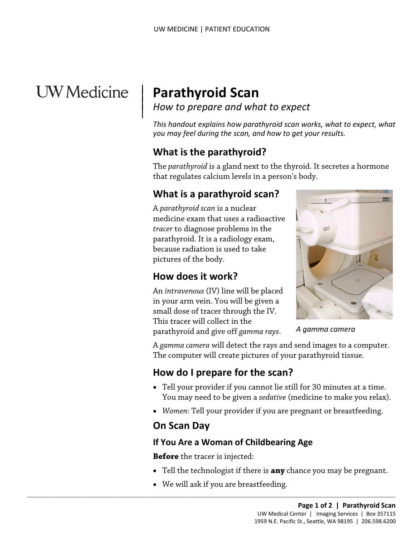# **UW** Medicine

 $\overline{\phantom{a}}$ 

# <sup>|</sup>**Parathyroid Scan** | *How to prepare and what to expect* <sup>|</sup>

*This handout explains how parathyroid scan works, what to expect, what you may feel during the scan, and how to get your results.* 

# **What is the parathyroid?**

The *parathyroid* is a gland next to the thyroid. It secretes a hormone that regulates calcium levels in a person's body.

# **What is a parathyroid scan?**

A *parathyroid scan* is a nuclear medicine exam that uses a radioactive *tracer* to diagnose problems in the parathyroid. It is a radiology exam, because radiation is used to take pictures of the body.

# **How does it work?**

An *intravenous* (IV) line will be placed in your arm vein. You will be given a small dose of tracer through the IV. This tracer will collect in the

parathyroid and give off *gamma rays*.



 *A gamma camera* 

 A *gamma camera* will detect the rays and send images to a computer. The computer will create pictures of your parathyroid tissue.

# **How do I prepare for the scan?**

- You may need to be given a *sedative* (medicine to make you relax). • Tell your provider if you cannot lie still for 30 minutes at a time.
- *Women:* Tell your provider if you are pregnant or breastfeeding.

#### **On Scan Day**

#### **If You Are a Woman of Childbearing Age**

**Before** the tracer is injected:

- Tell the technologist if there is **any** chance you may be pregnant.
- We will ask if you are breastfeeding.

 $\_$  , and the set of the set of the set of the set of the set of the set of the set of the set of the set of the set of the set of the set of the set of the set of the set of the set of the set of the set of the set of th